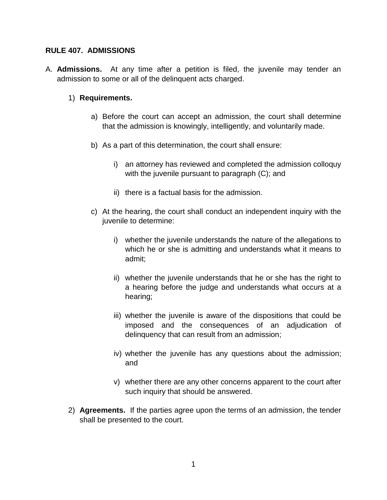### **RULE 407. ADMISSIONS**

A. **Admissions.** At any time after a petition is filed, the juvenile may tender an admission to some or all of the delinquent acts charged.

### 1) **Requirements.**

- a) Before the court can accept an admission, the court shall determine that the admission is knowingly, intelligently, and voluntarily made.
- b) As a part of this determination, the court shall ensure:
	- i) an attorney has reviewed and completed the admission colloquy with the juvenile pursuant to paragraph (C); and
	- ii) there is a factual basis for the admission.
- c) At the hearing, the court shall conduct an independent inquiry with the juvenile to determine:
	- i) whether the juvenile understands the nature of the allegations to which he or she is admitting and understands what it means to admit;
	- ii) whether the juvenile understands that he or she has the right to a hearing before the judge and understands what occurs at a hearing;
	- iii) whether the juvenile is aware of the dispositions that could be imposed and the consequences of an adjudication of delinquency that can result from an admission;
	- iv) whether the juvenile has any questions about the admission; and
	- v) whether there are any other concerns apparent to the court after such inquiry that should be answered.
- 2) **Agreements.** If the parties agree upon the terms of an admission, the tender shall be presented to the court.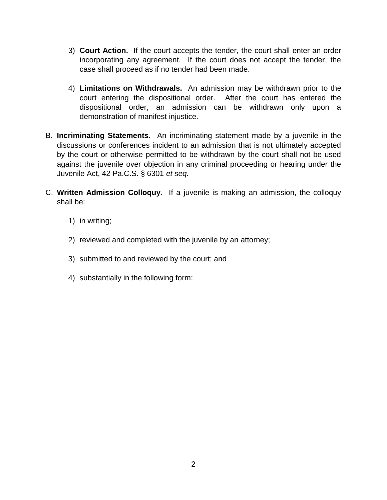- 3) **Court Action.** If the court accepts the tender, the court shall enter an order incorporating any agreement. If the court does not accept the tender, the case shall proceed as if no tender had been made.
- 4) **Limitations on Withdrawals.** An admission may be withdrawn prior to the court entering the dispositional order. After the court has entered the dispositional order, an admission can be withdrawn only upon a demonstration of manifest injustice.
- B. **Incriminating Statements.** An incriminating statement made by a juvenile in the discussions or conferences incident to an admission that is not ultimately accepted by the court or otherwise permitted to be withdrawn by the court shall not be used against the juvenile over objection in any criminal proceeding or hearing under the Juvenile Act, 42 Pa.C.S. § 6301 *et seq.*
- C. **Written Admission Colloquy.** If a juvenile is making an admission, the colloquy shall be:
	- 1) in writing;
	- 2) reviewed and completed with the juvenile by an attorney;
	- 3) submitted to and reviewed by the court; and
	- 4) substantially in the following form: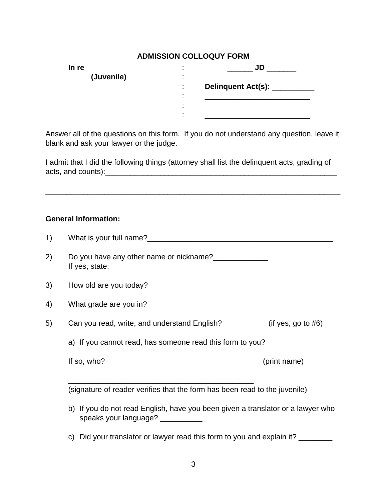## **ADMISSION COLLOQUY FORM**

| In re      | JD<br>٠                                     |  |
|------------|---------------------------------------------|--|
| (Juvenile) | $\overline{\phantom{a}}$                    |  |
|            | <b>Delinquent Act(s):</b><br>$\blacksquare$ |  |
|            | $\overline{\phantom{a}}$                    |  |
|            | ٠<br>$\overline{\phantom{a}}$               |  |
|            | ٠                                           |  |

Answer all of the questions on this form. If you do not understand any question, leave it blank and ask your lawyer or the judge.

I admit that I did the following things (attorney shall list the delinquent acts, grading of acts, and counts):\_\_\_\_\_\_\_\_\_\_\_\_\_\_\_\_\_\_\_\_\_\_\_\_\_\_\_\_\_\_\_\_\_\_\_\_\_\_\_\_\_\_\_\_\_\_\_\_\_\_\_\_\_\_\_

\_\_\_\_\_\_\_\_\_\_\_\_\_\_\_\_\_\_\_\_\_\_\_\_\_\_\_\_\_\_\_\_\_\_\_\_\_\_\_\_\_\_\_\_\_\_\_\_\_\_\_\_\_\_\_\_\_\_\_\_\_\_\_\_\_\_\_\_\_\_

 $\_$  ,  $\_$  ,  $\_$  ,  $\_$  ,  $\_$  ,  $\_$  ,  $\_$  ,  $\_$  ,  $\_$  ,  $\_$  ,  $\_$  ,  $\_$  ,  $\_$  ,  $\_$  ,  $\_$  ,  $\_$  ,  $\_$  ,  $\_$  ,  $\_$  ,  $\_$ 

### **General Information:**

| 1) |                                                                                                                      |
|----|----------------------------------------------------------------------------------------------------------------------|
| 2) | Do you have any other name or nickname?                                                                              |
| 3) | How old are you today? __________________                                                                            |
| 4) | What grade are you in? ________________                                                                              |
| 5) | Can you read, write, and understand English? ___________ (if yes, go to #6)                                          |
|    | a) If you cannot read, has someone read this form to you?                                                            |
|    |                                                                                                                      |
|    | (signature of reader verifies that the form has been read to the juvenile)                                           |
|    | b) If you do not read English, have you been given a translator or a lawyer who<br>speaks your language? ___________ |
|    | c) Did your translator or lawyer read this form to you and explain it?                                               |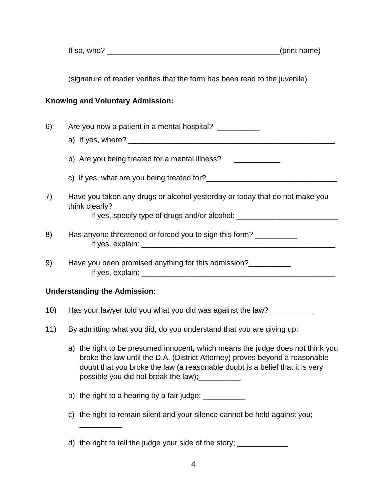If so, who?  $\Box$ 

(signature of reader verifies that the form has been read to the juvenile)

\_\_\_\_\_\_\_\_\_\_\_\_\_\_\_\_\_\_\_\_\_\_\_\_\_\_\_\_\_\_\_\_\_\_\_\_\_\_\_\_\_\_\_\_

### **Knowing and Voluntary Admission:**

- 6) Are you now a patient in a mental hospital? \_\_\_\_\_\_\_\_\_ a) If yes, where? \_\_\_\_\_\_\_\_\_\_\_\_\_\_\_\_\_\_\_\_\_\_\_\_\_\_\_\_\_\_\_\_\_\_\_\_\_\_\_\_\_\_\_\_\_\_\_\_\_ b) Are you being treated for a mental illness? \_\_\_\_\_\_\_\_\_\_\_\_ c) If yes, what are you being treated for?\_\_\_\_\_\_\_\_\_\_\_\_\_\_\_\_\_\_\_\_\_\_\_\_\_\_\_\_\_\_\_ 7) Have you taken any drugs or alcohol yesterday or today that do not make you think clearly? If yes, specify type of drugs and/or alcohol: 8) Has anyone threatened or forced you to sign this form? If yes, explain:  $\blacksquare$
- 9) Have you been promised anything for this admission? If yes, explain:  $\blacksquare$

## **Understanding the Admission:**

 $\overline{\phantom{a}}$  . The set of the set of the set of the set of the set of the set of the set of the set of the set of the set of the set of the set of the set of the set of the set of the set of the set of the set of the set o

- 10) Has your lawyer told you what you did was against the law?
- 11) By admitting what you did, do you understand that you are giving up:
	- a) the right to be presumed innocent**,** which means the judge does not think you broke the law until the D.A. (District Attorney) proves beyond a reasonable doubt that you broke the law (a reasonable doubt is a belief that it is very possible you did not break the law);
	- b) the right to a hearing by a fair judge;  $\frac{1}{2}$
	- c) the right to remain silent and your silence cannot be held against you;
	- d) the right to tell the judge your side of the story;  $\frac{1}{\sqrt{1-\frac{1}{2}}\sqrt{1-\frac{1}{2}}\sqrt{1-\frac{1}{2}}\sqrt{1-\frac{1}{2}}\sqrt{1-\frac{1}{2}}$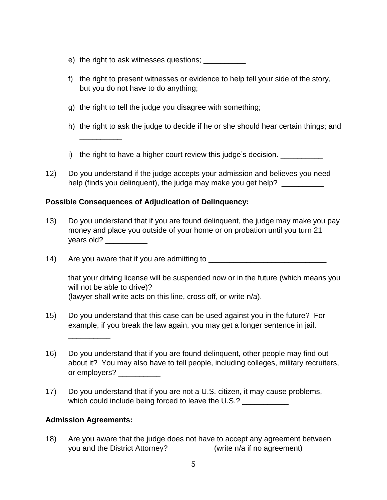- e) the right to ask witnesses questions; \_\_\_\_\_\_\_\_\_\_
- f) the right to present witnesses or evidence to help tell your side of the story, but you do not have to do anything;
- g) the right to tell the judge you disagree with something; \_\_\_\_\_\_\_\_\_\_\_
- h) the right to ask the judge to decide if he or she should hear certain things; and
- i) the right to have a higher court review this judge's decision.
- 12) Do you understand if the judge accepts your admission and believes you need help (finds you delinquent), the judge may make you get help? \_\_\_\_\_\_\_\_\_\_\_

### **Possible Consequences of Adjudication of Delinquency:**

\_\_\_\_\_\_\_\_\_\_

- 13) Do you understand that if you are found delinquent, the judge may make you pay money and place you outside of your home or on probation until you turn 21 years old?
- 14) Are you aware that if you are admitting to \_\_\_\_\_\_\_\_\_\_\_\_\_\_\_\_\_\_\_\_\_\_\_\_\_\_\_\_\_\_\_\_\_

that your driving license will be suspended now or in the future (which means you will not be able to drive)? (lawyer shall write acts on this line, cross off, or write n/a).

\_\_\_\_\_\_\_\_\_\_\_\_\_\_\_\_\_\_\_\_\_\_\_\_\_\_\_\_\_\_\_\_\_\_\_\_\_\_\_\_\_\_\_\_\_\_\_\_\_\_\_\_\_\_\_\_\_\_\_\_\_\_\_\_

- 15) Do you understand that this case can be used against you in the future? For example, if you break the law again, you may get a longer sentence in jail.
- 16) Do you understand that if you are found delinquent, other people may find out about it? You may also have to tell people, including colleges, military recruiters, or employers?
- 17) Do you understand that if you are not a U.S. citizen, it may cause problems, which could include being forced to leave the U.S.?

### **Admission Agreements:**

\_\_\_\_\_\_\_\_\_\_

18) Are you aware that the judge does not have to accept any agreement between you and the District Attorney? (write n/a if no agreement)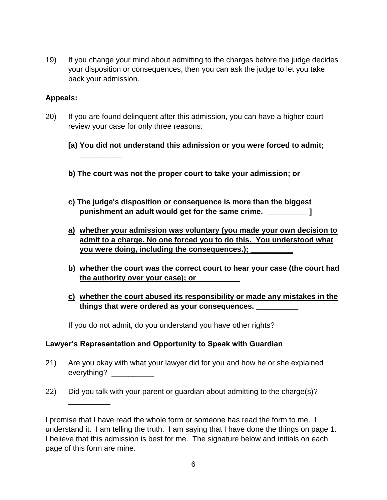19) If you change your mind about admitting to the charges before the judge decides your disposition or consequences, then you can ask the judge to let you take back your admission.

### **Appeals:**

**\_\_\_\_\_\_\_\_\_\_**

**\_\_\_\_\_\_\_\_\_\_**

\_\_\_\_\_\_\_\_\_\_

- 20) If you are found delinquent after this admission, you can have a higher court review your case for only three reasons:
	- **[a) You did not understand this admission or you were forced to admit;**
	- **b) The court was not the proper court to take your admission; or**
	- **c) The judge's disposition or consequence is more than the biggest punishment an adult would get for the same crime. \_\_\_\_\_\_\_\_\_\_]**
	- **a) whether your admission was voluntary (you made your own decision to admit to a charge. No one forced you to do this. You understood what you were doing, including the consequences.); \_\_\_\_\_\_\_\_\_\_**
	- **b) whether the court was the correct court to hear your case (the court had the authority over your case); or \_\_\_\_\_\_\_\_\_\_**
	- **c) whether the court abused its responsibility or made any mistakes in the things that were ordered as your consequences. \_\_\_\_\_\_\_\_\_\_**

If you do not admit, do you understand you have other rights? \_\_\_\_\_\_\_\_\_\_\_

### **Lawyer's Representation and Opportunity to Speak with Guardian**

- 21) Are you okay with what your lawyer did for you and how he or she explained everything?
- 22) Did you talk with your parent or guardian about admitting to the charge(s)?

I promise that I have read the whole form or someone has read the form to me. I understand it. I am telling the truth. I am saying that I have done the things on page 1. I believe that this admission is best for me. The signature below and initials on each page of this form are mine.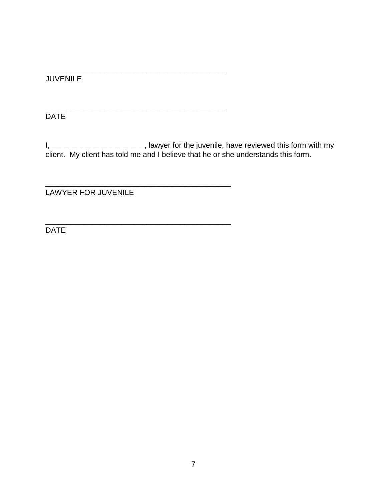# JUVENILE

DATE

I, \_\_\_\_\_\_\_\_\_\_\_\_\_\_\_\_\_\_\_\_\_\_\_\_\_\_, lawyer for the juvenile, have reviewed this form with my client. My client has told me and I believe that he or she understands this form.

\_\_\_\_\_\_\_\_\_\_\_\_\_\_\_\_\_\_\_\_\_\_\_\_\_\_\_\_\_\_\_\_\_\_\_\_\_\_\_\_\_\_\_

\_\_\_\_\_\_\_\_\_\_\_\_\_\_\_\_\_\_\_\_\_\_\_\_\_\_\_\_\_\_\_\_\_\_\_\_\_\_\_\_\_\_\_

\_\_\_\_\_\_\_\_\_\_\_\_\_\_\_\_\_\_\_\_\_\_\_\_\_\_\_\_\_\_\_\_\_\_\_\_\_\_\_\_\_\_\_\_

\_\_\_\_\_\_\_\_\_\_\_\_\_\_\_\_\_\_\_\_\_\_\_\_\_\_\_\_\_\_\_\_\_\_\_\_\_\_\_\_\_\_\_\_

LAWYER FOR JUVENILE

DATE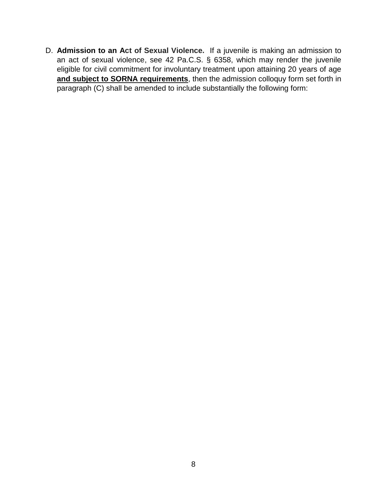D. **Admission to an Act of Sexual Violence.** If a juvenile is making an admission to an act of sexual violence, see 42 Pa.C.S. § 6358, which may render the juvenile eligible for civil commitment for involuntary treatment upon attaining 20 years of age **and subject to SORNA requirements**, then the admission colloquy form set forth in paragraph (C) shall be amended to include substantially the following form: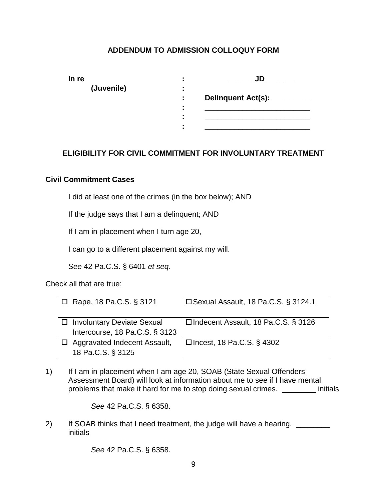## **ADDENDUM TO ADMISSION COLLOQUY FORM**

| In re |            |                     | JD                        |
|-------|------------|---------------------|---------------------------|
|       | (Juvenile) | $\blacksquare$      |                           |
|       |            | ÷                   | <b>Delinquent Act(s):</b> |
|       |            | ٠<br>$\blacksquare$ |                           |
|       |            | ٠<br>٠              |                           |
|       |            |                     |                           |

### **ELIGIBILITY FOR CIVIL COMMITMENT FOR INVOLUNTARY TREATMENT**

### **Civil Commitment Cases**

I did at least one of the crimes (in the box below); AND

If the judge says that I am a delinquent; AND

If I am in placement when I turn age 20,

I can go to a different placement against my will.

*See* 42 Pa.C.S. § 6401 *et seq*.

Check all that are true:

| $\Box$ Rape, 18 Pa.C.S. § 3121                                 | □ Sexual Assault, 18 Pa.C.S. § 3124.1 |
|----------------------------------------------------------------|---------------------------------------|
| □ Involuntary Deviate Sexual<br>Intercourse, 18 Pa.C.S. § 3123 | □ Indecent Assault, 18 Pa.C.S. § 3126 |
| Aggravated Indecent Assault,<br>18 Pa.C.S. § 3125              | □ Incest, 18 Pa.C.S. § 4302           |

1) If I am in placement when I am age 20, SOAB (State Sexual Offenders Assessment Board) will look at information about me to see if I have mental problems that make it hard for me to stop doing sexual crimes. \_\_\_\_\_\_\_\_ initials

*See* 42 Pa.C.S. § 6358.

2) If SOAB thinks that I need treatment, the judge will have a hearing. initials

*See* 42 Pa.C.S. § 6358.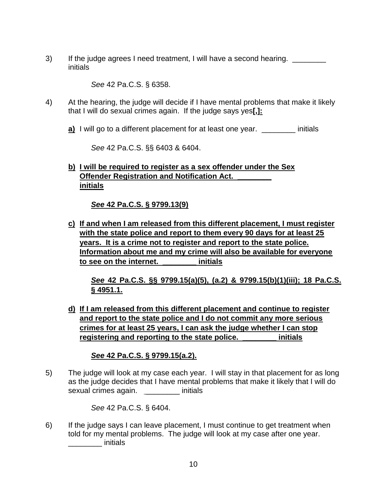3) If the judge agrees I need treatment, I will have a second hearing. \_\_\_\_\_\_\_\_ initials

*See* 42 Pa.C.S. § 6358.

- 4) At the hearing, the judge will decide if I have mental problems that make it likely that I will do sexual crimes again. If the judge says yes**[,]:**
	- **a)** I will go to a different placement for at least one year. \_\_\_\_\_\_\_\_\_\_ initials

*See* 42 Pa.C.S. §§ 6403 & 6404.

**b) I will be required to register as a sex offender under the Sex Offender Registration and Notification Act. initials**

*See* **42 Pa.C.S. § 9799.13(9)**

**c) If and when I am released from this different placement, I must register with the state police and report to them every 90 days for at least 25 years. It is a crime not to register and report to the state police. Information about me and my crime will also be available for everyone to see on the internet. \_\_\_\_\_\_\_\_ initials**

*See* **42 Pa.C.S. §§ 9799.15(a)(5), (a.2) & 9799.15(b)(1)(iii); 18 Pa.C.S. § 4951.1.**

**d) If I am released from this different placement and continue to register and report to the state police and I do not commit any more serious crimes for at least 25 years, I can ask the judge whether I can stop registering and reporting to the state police. \_\_\_\_\_\_\_\_ initials**

## *See* **42 Pa.C.S. § 9799.15(a.2).**

5) The judge will look at my case each year. I will stay in that placement for as long as the judge decides that I have mental problems that make it likely that I will do sexual crimes again. \_\_\_\_\_\_\_\_ initials

*See* 42 Pa.C.S. § 6404.

6) If the judge says I can leave placement, I must continue to get treatment when told for my mental problems. The judge will look at my case after one year.  $\blacksquare$  initials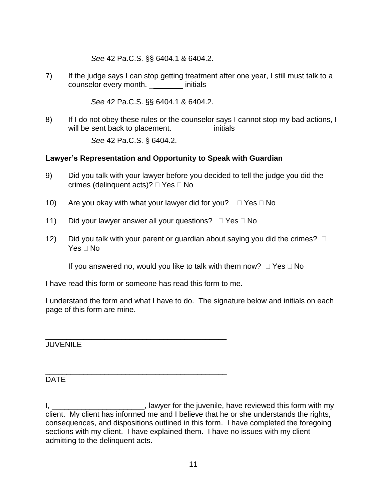*See* 42 Pa.C.S. §§ 6404.1 & 6404.2.

7) If the judge says I can stop getting treatment after one year, I still must talk to a counselor every month. \_\_\_\_\_\_\_\_ initials

*See* 42 Pa.C.S. §§ 6404.1 & 6404.2.

8) If I do not obey these rules or the counselor says I cannot stop my bad actions, I will be sent back to placement. \_\_\_\_\_\_\_\_ initials

*See* 42 Pa.C.S. § 6404.2.

## **Lawyer's Representation and Opportunity to Speak with Guardian**

- 9) Did you talk with your lawyer before you decided to tell the judge you did the crimes (delinquent acts)?  $\Box$  Yes  $\Box$  No
- 10) Are you okay with what your lawyer did for you?  $\Box$  Yes  $\Box$  No
- 11) Did your lawyer answer all your questions?  $\Box$  Yes  $\Box$  No
- 12) Did you talk with your parent or guardian about saying you did the crimes?  $\Box$ Yes  $\sqcap$  No

If you answered no, would you like to talk with them now?  $\Box$  Yes  $\Box$  No

I have read this form or someone has read this form to me.

\_\_\_\_\_\_\_\_\_\_\_\_\_\_\_\_\_\_\_\_\_\_\_\_\_\_\_\_\_\_\_\_\_\_\_\_\_\_\_\_\_\_\_

I understand the form and what I have to do. The signature below and initials on each page of this form are mine.

\_\_\_\_\_\_\_\_\_\_\_\_\_\_\_\_\_\_\_\_\_\_\_\_\_\_\_\_\_\_\_\_\_\_\_\_\_\_\_\_\_\_\_ **JUVENILE** 

## DATE

I, \_\_\_\_\_\_\_\_\_\_\_\_\_\_\_\_\_\_\_\_\_\_\_\_\_\_, lawyer for the juvenile, have reviewed this form with my client. My client has informed me and I believe that he or she understands the rights, consequences, and dispositions outlined in this form. I have completed the foregoing sections with my client. I have explained them. I have no issues with my client admitting to the delinquent acts.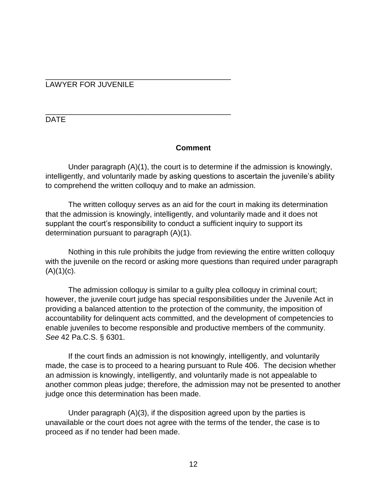#### \_\_\_\_\_\_\_\_\_\_\_\_\_\_\_\_\_\_\_\_\_\_\_\_\_\_\_\_\_\_\_\_\_\_\_\_\_\_\_\_\_\_\_\_ LAWYER FOR JUVENILE

\_\_\_\_\_\_\_\_\_\_\_\_\_\_\_\_\_\_\_\_\_\_\_\_\_\_\_\_\_\_\_\_\_\_\_\_\_\_\_\_\_\_\_\_

DATE

### **Comment**

Under paragraph (A)(1), the court is to determine if the admission is knowingly, intelligently, and voluntarily made by asking questions to ascertain the juvenile's ability to comprehend the written colloquy and to make an admission.

The written colloquy serves as an aid for the court in making its determination that the admission is knowingly, intelligently, and voluntarily made and it does not supplant the court's responsibility to conduct a sufficient inquiry to support its determination pursuant to paragraph (A)(1).

Nothing in this rule prohibits the judge from reviewing the entire written colloquy with the juvenile on the record or asking more questions than required under paragraph  $(A)(1)(c)$ .

The admission colloquy is similar to a guilty plea colloquy in criminal court; however, the juvenile court judge has special responsibilities under the Juvenile Act in providing a balanced attention to the protection of the community, the imposition of accountability for delinquent acts committed, and the development of competencies to enable juveniles to become responsible and productive members of the community. *See* 42 Pa.C.S. § 6301.

If the court finds an admission is not knowingly, intelligently, and voluntarily made, the case is to proceed to a hearing pursuant to Rule 406. The decision whether an admission is knowingly, intelligently, and voluntarily made is not appealable to another common pleas judge; therefore, the admission may not be presented to another judge once this determination has been made.

Under paragraph (A)(3), if the disposition agreed upon by the parties is unavailable or the court does not agree with the terms of the tender, the case is to proceed as if no tender had been made.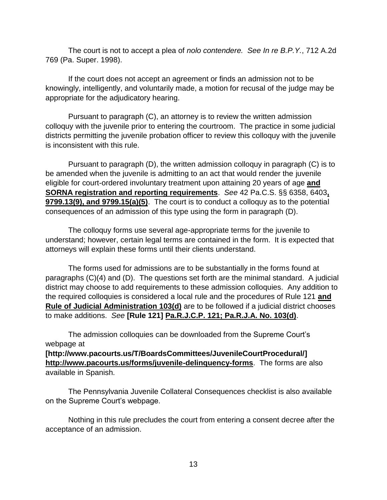The court is not to accept a plea of *nolo contendere. See In re B.P.Y.*, 712 A.2d 769 (Pa. Super. 1998).

If the court does not accept an agreement or finds an admission not to be knowingly, intelligently, and voluntarily made, a motion for recusal of the judge may be appropriate for the adjudicatory hearing.

Pursuant to paragraph (C), an attorney is to review the written admission colloquy with the juvenile prior to entering the courtroom. The practice in some judicial districts permitting the juvenile probation officer to review this colloquy with the juvenile is inconsistent with this rule.

Pursuant to paragraph (D), the written admission colloquy in paragraph (C) is to be amended when the juvenile is admitting to an act that would render the juvenile eligible for court-ordered involuntary treatment upon attaining 20 years of age **and SORNA registration and reporting requirements**. *See* 42 Pa.C.S. §§ 6358, 6403**, 9799.13(9), and 9799.15(a)(5)**. The court is to conduct a colloquy as to the potential consequences of an admission of this type using the form in paragraph (D).

The colloquy forms use several age-appropriate terms for the juvenile to understand; however, certain legal terms are contained in the form. It is expected that attorneys will explain these forms until their clients understand.

The forms used for admissions are to be substantially in the forms found at paragraphs (C)(4) and (D). The questions set forth are the minimal standard. A judicial district may choose to add requirements to these admission colloquies. Any addition to the required colloquies is considered a local rule and the procedures of Rule 121 **and Rule of Judicial Administration 103(d)** are to be followed if a judicial district chooses to make additions. *See* **[Rule 121] Pa.R.J.C.P. 121; Pa.R.J.A. No. 103(d)**.

The admission colloquies can be downloaded from the Supreme Court's webpage at

**[http://www.pacourts.us/T/BoardsCommittees/JuvenileCourtProcedural/] http://www.pacourts.us/forms/juvenile-delinquency-forms**. The forms are also available in Spanish.

The Pennsylvania Juvenile Collateral Consequences checklist is also available on the Supreme Court's webpage.

Nothing in this rule precludes the court from entering a consent decree after the acceptance of an admission.